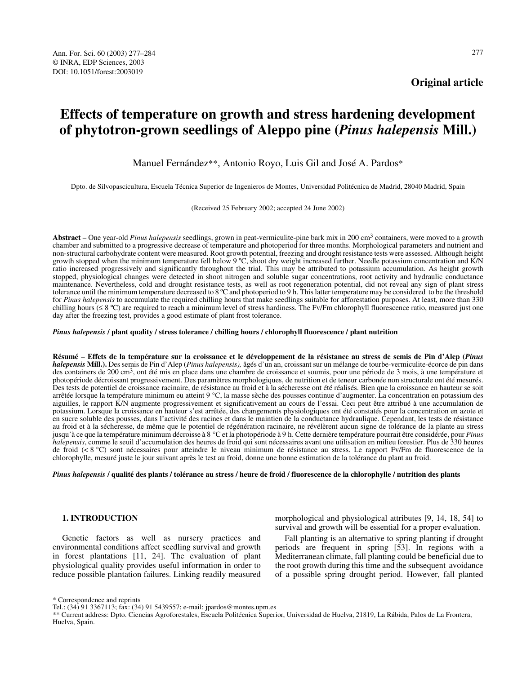# **Effects of temperature on growth and stress hardening development of phytotron-grown seedlings of Aleppo pine (***Pinus halepensis* **Mill.)**

Manuel Fernández\*\*, Antonio Royo, Luis Gil and José A. Pardos\*

Dpto. de Silvopascicultura, Escuela Técnica Superior de Ingenieros de Montes, Universidad Politécnica de Madrid, 28040 Madrid, Spain

(Received 25 February 2002; accepted 24 June 2002)

**Abstract** – One year-old *Pinus halepensis* seedlings, grown in peat-vermiculite-pine bark mix in 200 cm<sup>3</sup> containers, were moved to a growth chamber and submitted to a progressive decrease of temperature and photoperiod for three months. Morphological parameters and nutrient and non-structural carbohydrate content were measured. Root growth potential, freezing and drought resistance tests were assessed. Although height growth stopped when the minimum temperature fell below 9 ºC, shoot dry weight increased further. Needle potassium concentration and K/N ratio increased progressively and significantly throughout the trial. This may be attributed to potassium accumulation. As height growth stopped, physiological changes were detected in shoot nitrogen and soluble sugar concentrations, root activity and hydraulic conductance maintenance. Nevertheless, cold and drought resistance tests, as well as root regeneration potential, did not reveal any sign of plant stress tolerance until the minimum temperature decreased to 8 ºC and photoperiod to 9 h. This latter temperature may be considered to be the threshold for *Pinus halepensis* to accumulate the required chilling hours that make seedlings suitable for afforestation purposes. At least, more than 330 chilling hours ( $\leq 8$  °C) are required to reach a minimum level of stress hardiness. The Fv/Fm chlorophyll fluorescence ratio, measured just one day after the freezing test, provides a good estimate of plant frost tolerance.

*Pinus halepensis* **/ plant quality / stress tolerance / chilling hours / chlorophyll fluorescence / plant nutrition**

**Résumé** – **Effets de la température sur la croissance et le développement de la résistance au stress de semis de Pin d'Alep (***Pinus halepensis* **Mill.).** Des semis de Pin d'Alep (*Pinus halepensis),* âgés d'un an, croissant sur un mélange de tourbe-vermiculite-écorce de pin dans des containers de 200 cm<sup>3</sup>, ont été mis en place dans une chambre de croissance et soumis, pour une période de 3 mois, à une température et photopériode décroissant progressivement. Des paramètres morphologiques, de nutrition et de teneur carbonée non structurale ont été mesurés. Des tests de potentiel de croissance racinaire, de résistance au froid et à la sécheresse ont été réalisés. Bien que la croissance en hauteur se soit arrêtée lorsque la température minimum eu atteint 9 °C, la masse sèche des pousses continue d'augmenter. La concentration en potassium des aiguilles, le rapport K/N augmente progressivement et significativement au cours de l'essai. Ceci peut être attribué à une accumulation de potassium. Lorsque la croissance en hauteur s'est arrêtée, des changements physiologiques ont été constatés pour la concentration en azote et en sucre soluble des pousses, dans l'activité des racines et dans le maintien de la conductance hydraulique. Cependant, les tests de résistance au froid et à la sécheresse, de même que le potentiel de régénération racinaire, ne révélèrent aucun signe de tolérance de la plante au stress jusqu'à ce que la température minimum décroisse à 8 °C et la photopériode à 9 h. Cette dernière température pourrait être considérée, pour *Pinus halepensis*, comme le seuil d'accumulation des heures de froid qui sont nécessaires avant une utilisation en milieu forestier. Plus de 330 heures de froid (< 8 °C) sont nécessaires pour atteindre le niveau minimum de résistance au stress. Le rapport Fv/Fm de fluorescence de la chlorophylle, mesuré juste le jour suivant après le test au froid, donne une bonne estimation de la tolérance du plant au froid.

*Pinus halepensis* **/ qualité des plants / tolérance au stress / heure de froid / fluorescence de la chlorophylle / nutrition des plants**

## **1. INTRODUCTION**

Genetic factors as well as nursery practices and environmental conditions affect seedling survival and growth in forest plantations [11, 24]. The evaluation of plant physiological quality provides useful information in order to reduce possible plantation failures. Linking readily measured morphological and physiological attributes [9, 14, 18, 54] to survival and growth will be essential for a proper evaluation.

Fall planting is an alternative to spring planting if drought periods are frequent in spring [53]. In regions with a Mediterranean climate, fall planting could be beneficial due to the root growth during this time and the subsequent avoidance of a possible spring drought period. However, fall planted

<sup>\*</sup> Correspondence and reprints

Tel.: (34) 91 3367113; fax: (34) 91 5439557; e-mail: jpardos@montes.upm.es

<sup>\*\*</sup> Current address: Dpto. Ciencias Agroforestales, Escuela Politécnica Superior, Universidad de Huelva, 21819, La Rábida, Palos de La Frontera, Huelva, Spain.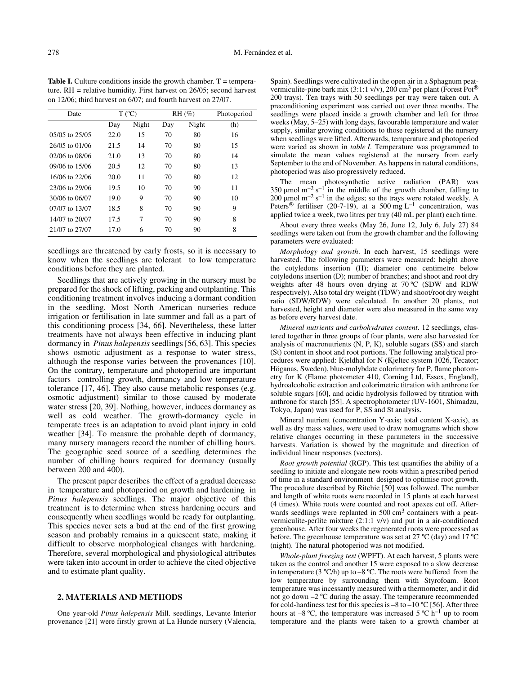| Date           |      | $T (^{\circ}C)$ |     | $RH (\%)$ | Photoperiod |
|----------------|------|-----------------|-----|-----------|-------------|
|                | Day  | Night           | Day | Night     | (h)         |
| 05/05 to 25/05 | 22.0 | 15              | 70  | 80        | 16          |
| 26/05 to 01/06 | 21.5 | 14              | 70  | 80        | 15          |
| 02/06 to 08/06 | 21.0 | 13              | 70  | 80        | 14          |
| 09/06 to 15/06 | 20.5 | 12              | 70  | 80        | 13          |
| 16/06 to 22/06 | 20.0 | 11              | 70  | 80        | 12          |
| 23/06 to 29/06 | 19.5 | 10              | 70  | 90        | 11          |
| 30/06 to 06/07 | 19.0 | 9               | 70  | 90        | 10          |
| 07/07 to 13/07 | 18.5 | 8               | 70  | 90        | 9           |
| 14/07 to 20/07 | 17.5 | 7               | 70  | 90        | 8           |
| 21/07 to 27/07 | 17.0 | 6               | 70  | 90        | 8           |

**Table I.** Culture conditions inside the growth chamber.  $T =$  temperature. RH = relative humidity. First harvest on 26/05; second harvest on 12/06; third harvest on 6/07; and fourth harvest on 27/07.

seedlings are threatened by early frosts, so it is necessary to know when the seedlings are tolerant to low temperature conditions before they are planted.

Seedlings that are actively growing in the nursery must be prepared for the shock of lifting, packing and outplanting. This conditioning treatment involves inducing a dormant condition in the seedling. Most North American nurseries reduce irrigation or fertilisation in late summer and fall as a part of this conditioning process [34, 66]. Nevertheless, these latter treatments have not always been effective in inducing plant dormancy in *Pinus halepensis* seedlings [56, 63]. This species shows osmotic adjustment as a response to water stress, although the response varies between the provenances [10]. On the contrary, temperature and photoperiod are important factors controlling growth, dormancy and low temperature tolerance [17, 46]. They also cause metabolic responses (e.g. osmotic adjustment) similar to those caused by moderate water stress [20, 39]. Nothing, however, induces dormancy as well as cold weather. The growth-dormancy cycle in temperate trees is an adaptation to avoid plant injury in cold weather [34]. To measure the probable depth of dormancy, many nursery managers record the number of chilling hours. The geographic seed source of a seedling determines the number of chilling hours required for dormancy (usually between 200 and 400).

The present paper describes the effect of a gradual decrease in temperature and photoperiod on growth and hardening in *Pinus halepensis* seedlings. The major objective of this treatment is to determine when stress hardening occurs and consequently when seedlings would be ready for outplanting. This species never sets a bud at the end of the first growing season and probably remains in a quiescent state, making it difficult to observe morphological changes with hardening. Therefore, several morphological and physiological attributes were taken into account in order to achieve the cited objective and to estimate plant quality.

# **2. MATERIALS AND METHODS**

One year-old *Pinus halepensis* Mill. seedlings, Levante Interior provenance [21] were firstly grown at La Hunde nursery (Valencia, Spain). Seedlings were cultivated in the open air in a Sphagnum peatvermiculite-pine bark mix (3:1:1 v/v), 200 cm<sup>3</sup> per plant (Forest Pot<sup>®</sup>) 200 trays). Ten trays with 50 seedlings per tray were taken out. A preconditioning experiment was carried out over three months. The seedlings were placed inside a growth chamber and left for three weeks (May, 5–25) with long days, favourable temperature and water supply, similar growing conditions to those registered at the nursery when seedlings were lifted. Afterwards, temperature and photoperiod were varied as shown in *table I*. Temperature was programmed to simulate the mean values registered at the nursery from early September to the end of November. As happens in natural conditions, photoperiod was also progressively reduced.

The mean photosynthetic active radiation (PAR) was 350  $\mu$ mol m<sup>-2</sup> s<sup>-1</sup> in the middle of the growth chamber, falling to 200  $\mu$ mol m<sup>-2</sup> s<sup>-1</sup> in the edges; so the trays were rotated weekly. A Peters<sup>®</sup> fertiliser (20-7-19), at a 500 mg L<sup>-1</sup> concentration, was applied twice a week, two litres per tray (40 mL per plant) each time.

About every three weeks (May 26, June 12, July 6, July 27) 84 seedlings were taken out from the growth chamber and the following parameters were evaluated:

*Morphology and growth*. In each harvest, 15 seedlings were harvested. The following parameters were measured: height above the cotyledons insertion (H); diameter one centimetre below cotyledons insertion (D); number of branches; and shoot and root dry weights after 48 hours oven drying at 70 ºC (SDW and RDW respectively). Also total dry weight (TDW) and shoot/root dry weight ratio (SDW/RDW) were calculated. In another 20 plants, not harvested, height and diameter were also measured in the same way as before every harvest date.

*Mineral nutrients and carbohydrates content*. 12 seedlings, clustered together in three groups of four plants, were also harvested for analysis of macronutrients (N, P, K), soluble sugars (SS) and starch (St) content in shoot and root portions. The following analytical procedures were applied: Kjeldhal for N (Kjeltec system 1026, Tecator; Höganas, Sweden), blue-molybdate colorimetry for P, flame photometry for K (Flame photometer 410, Corning Ltd, Essex, England), hydroalcoholic extraction and colorimetric titration with anthrone for soluble sugars [60], and acidic hydrolysis followed by titration with anthrone for starch [55]. A spectrophotometer (UV-1601, Shimadzu, Tokyo, Japan) was used for P, SS and St analysis.

Mineral nutrient (concentration Y-axis; total content X-axis), as well as dry mass values, were used to draw nomograms which show relative changes occurring in these parameters in the successive harvests. Variation is showed by the magnitude and direction of individual linear responses (vectors).

*Root growth potential* (RGP). This test quantifies the ability of a seedling to initiate and elongate new roots within a prescribed period of time in a standard environment designed to optimise root growth. The procedure described by Ritchie [50] was followed. The number and length of white roots were recorded in 15 plants at each harvest (4 times). White roots were counted and root apexes cut off. Afterwards seedlings were replanted in 500 cm<sup>3</sup> containers with a peatvermiculite-perlite mixture (2:1:1 v/v) and put in a air-conditioned greenhouse. After four weeks the regenerated roots were processed as before. The greenhouse temperature was set at 27  $^{\circ}C$  (day) and 17  $^{\circ}C$ (night). The natural photoperiod was not modified.

*Whole-plant freezing test* (WPFT). At each harvest, 5 plants were taken as the control and another 15 were exposed to a slow decrease in temperature (3  $^{\circ}$ C/h) up to -8  $^{\circ}$ C. The roots were buffered from the low temperature by surrounding them with Styrofoam. Root temperature was incessantly measured with a thermometer, and it did not go down –2 ºC during the assay. The temperature recommended for cold-hardiness test for this species is  $-8$  to  $-10$  °C [56]. After three hours at  $-8$  °C, the temperature was increased  $5$  °C h<sup>-1</sup> up to room temperature and the plants were taken to a growth chamber at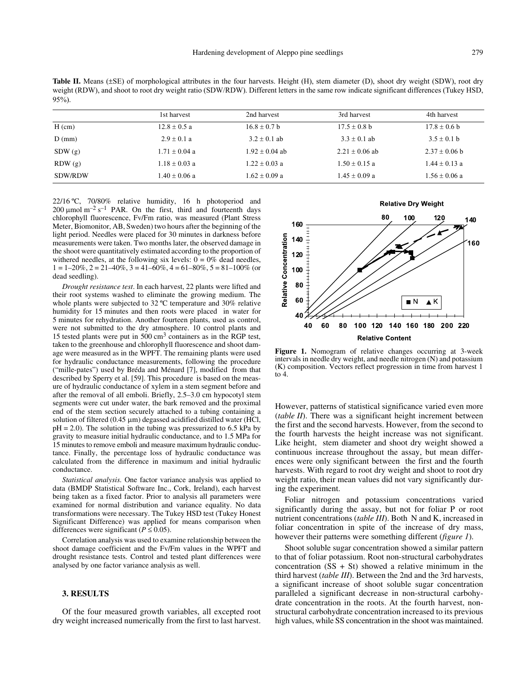**Table II.** Means (±SE) of morphological attributes in the four harvests. Height (H), stem diameter (D), shoot dry weight (SDW), root dry weight (RDW), and shoot to root dry weight ratio (SDW/RDW). Different letters in the same row indicate significant differences (Tukey HSD, 95%).

|          | 1st harvest       | 2nd harvest      | 3rd harvest      | 4th harvest       |
|----------|-------------------|------------------|------------------|-------------------|
| $H$ (cm) | $12.8 \pm 0.5$ a  | $16.8 \pm 0.7$ b | $17.5 \pm 0.8$ b | $17.8 \pm 0.6$ b  |
| $D$ (mm) | $2.9 + 0.1 a$     | $3.2 \pm 0.1$ ab | $3.3 \pm 0.1$ ab | $3.5 \pm 0.1$ b   |
| SDW(g)   | $1.71 \pm 0.04$ a | $1.92 + 0.04$ ab | $2.21 + 0.06$ ab | $2.37 \pm 0.06$ b |
| RDW(g)   | $1.18 \pm 0.03$ a | $1.22 + 0.03$ a  | $1.50 + 0.15$ a  | $1.44 \pm 0.13$ a |
| SDW/RDW  | $1.40 \pm 0.06$ a | $1.62 + 0.09$ a  | $1.45 + 0.09 a$  | $1.56 \pm 0.06$ a |

22/16 ºC, 70/80% relative humidity, 16 h photoperiod and 200  $\mu$ mol m<sup>-2</sup> s<sup>-1</sup> PAR. On the first, third and fourteenth days chlorophyll fluorescence, Fv/Fm ratio, was measured (Plant Stress Meter, Biomonitor, AB, Sweden) two hours after the beginning of the light period. Needles were placed for 30 minutes in darkness before measurements were taken. Two months later, the observed damage in the shoot were quantitatively estimated according to the proportion of withered needles, at the following six levels:  $0 = 0\%$  dead needles,  $1 = 1-20\%$ ,  $2 = 21-40\%$ ,  $3 = 41-60\%$ ,  $4 = 61-80\%$ ,  $5 = 81-100\%$  (or dead seedling).

*Drought resistance test*. In each harvest, 22 plants were lifted and their root systems washed to eliminate the growing medium. The whole plants were subjected to 32 ºC temperature and 30% relative humidity for 15 minutes and then roots were placed in water for 5 minutes for rehydration. Another fourteen plants, used as control, were not submitted to the dry atmosphere. 10 control plants and 15 tested plants were put in 500 cm3 containers as in the RGP test, taken to the greenhouse and chlorophyll fluorescence and shoot damage were measured as in the WPFT. The remaining plants were used for hydraulic conductance measurements, following the procedure ("mille-pates") used by Bréda and Ménard [7], modified from that described by Sperry et al. [59]. This procedure is based on the measure of hydraulic conductance of xylem in a stem segment before and after the removal of all emboli. Briefly, 2.5–3.0 cm hypocotyl stem segments were cut under water, the bark removed and the proximal end of the stem section securely attached to a tubing containing a solution of filtered  $(0.45 \mu m)$  degassed acidified distilled water (HCl,  $pH = 2.0$ ). The solution in the tubing was pressurized to 6.5 kPa by gravity to measure initial hydraulic conductance, and to 1.5 MPa for 15 minutes to remove emboli and measure maximum hydraulic conductance. Finally, the percentage loss of hydraulic conductance was calculated from the difference in maximum and initial hydraulic conductance.

*Statistical analysis.* One factor variance analysis was applied to data (BMDP Statistical Software Inc., Cork, Ireland), each harvest being taken as a fixed factor. Prior to analysis all parameters were examined for normal distribution and variance equality. No data transformations were necessary. The Tukey HSD test (Tukey Honest Significant Difference) was applied for means comparison when differences were significant ( $P \le 0.05$ ).

Correlation analysis was used to examine relationship between the shoot damage coefficient and the Fv/Fm values in the WPFT and drought resistance tests. Control and tested plant differences were analysed by one factor variance analysis as well.

## **3. RESULTS**

Of the four measured growth variables, all excepted root dry weight increased numerically from the first to last harvest.



**Figure 1.** Nomogram of relative changes occurring at 3-week intervals in needle dry weight, and needle nitrogen (N) and potassium (K) composition. Vectors reflect progression in time from harvest 1 to 4.

However, patterns of statistical significance varied even more (*table II*). There was a significant height increment between the first and the second harvests. However, from the second to the fourth harvests the height increase was not significant. Like height, stem diameter and shoot dry weight showed a continuous increase throughout the assay, but mean differences were only significant between the first and the fourth harvests. With regard to root dry weight and shoot to root dry weight ratio, their mean values did not vary significantly during the experiment.

Foliar nitrogen and potassium concentrations varied significantly during the assay, but not for foliar P or root nutrient concentrations (*table III*). Both N and K, increased in foliar concentration in spite of the increase of dry mass, however their patterns were something different (*figure 1*).

Shoot soluble sugar concentration showed a similar pattern to that of foliar potassium. Root non-structural carbohydrates concentration  $(SS + St)$  showed a relative minimum in the third harvest (*table III*). Between the 2nd and the 3rd harvests, a significant increase of shoot soluble sugar concentration paralleled a significant decrease in non-structural carbohydrate concentration in the roots. At the fourth harvest, nonstructural carbohydrate concentration increased to its previous high values, while SS concentration in the shoot was maintained.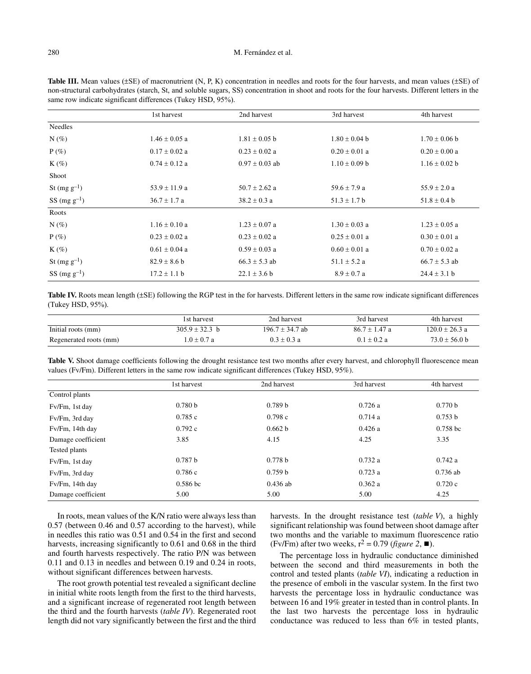### 280 M. Fernández et al.

| same fow mureate significant unterefrees (Tukey Tisp), 30/0). |                   |                    |                   |                   |  |
|---------------------------------------------------------------|-------------------|--------------------|-------------------|-------------------|--|
|                                                               | 1st harvest       | 2nd harvest        | 3rd harvest       | 4th harvest       |  |
| Needles                                                       |                   |                    |                   |                   |  |
| $N(\%)$                                                       | $1.46 \pm 0.05$ a | $1.81 \pm 0.05$ b  | $1.80 \pm 0.04$ b | $1.70 \pm 0.06$ b |  |
| $P(\%)$                                                       | $0.17 \pm 0.02$ a | $0.23 \pm 0.02$ a  | $0.20 \pm 0.01$ a | $0.20 \pm 0.00 a$ |  |
| $K(\%)$                                                       | $0.74 \pm 0.12$ a | $0.97 \pm 0.03$ ab | $1.10 \pm 0.09$ b | $1.16 \pm 0.02$ b |  |
| Shoot                                                         |                   |                    |                   |                   |  |
| St $(mg g^{-1})$                                              | $53.9 \pm 11.9$ a | $50.7 \pm 2.62$ a  | 59.6 $\pm$ 7.9 a  | 55.9 $\pm$ 2.0 a  |  |
| $SS \, (mg \, g^{-1})$                                        | $36.7 \pm 1.7$ a  | $38.2 \pm 0.3$ a   | $51.3 \pm 1.7 b$  | $51.8 \pm 0.4 b$  |  |
| Roots                                                         |                   |                    |                   |                   |  |
| $N(\%)$                                                       | $1.16 \pm 0.10$ a | $1.23 \pm 0.07$ a  | $1.30 \pm 0.03$ a | $1.23 \pm 0.05$ a |  |
| $P(\%)$                                                       | $0.23 \pm 0.02$ a | $0.23 \pm 0.02$ a  | $0.25 \pm 0.01$ a | $0.30 \pm 0.01$ a |  |
| $K(\%)$                                                       | $0.61 \pm 0.04$ a | $0.59 \pm 0.03$ a  | $0.60 \pm 0.01$ a | $0.70 \pm 0.02$ a |  |
| St $(mg g^{-1})$                                              | $82.9 \pm 8.6 b$  | $66.3 \pm 5.3$ ab  | $51.1 \pm 5.2 a$  | $66.7 \pm 5.3$ ab |  |
| $SS (mg g^{-1})$                                              | $17.2 \pm 1.1$ b  | $22.1 \pm 3.6 b$   | $8.9 \pm 0.7 a$   | $24.4 \pm 3.1 b$  |  |

Table III. Mean values ( $\pm$ SE) of macronutrient (N, P, K) concentration in needles and roots for the four harvests, and mean values ( $\pm$ SE) of non-structural carbohydrates (starch, St, and soluble sugars, SS) concentration in shoot and roots for the four harvests. Different letters in the same row indicate significant differences (Tukey HSD, 95%).

| Table IV. Roots mean length (±SE) following the RGP test in the for harvests. Different letters in the same row indicate significant differences |  |  |  |
|--------------------------------------------------------------------------------------------------------------------------------------------------|--|--|--|
| (Tukey HSD, 95%).                                                                                                                                |  |  |  |

|                        | 1st harvest      | 2nd harvest       | 3rd harvest     | 4th harvest        |
|------------------------|------------------|-------------------|-----------------|--------------------|
| Initial roots (mm)     | $305.9 + 32.3 h$ | $196.7 + 34.7$ ab | $86.7 + 1.47$ a | $120.0 \pm 26.3$ a |
| Regenerated roots (mm) | $1.0 + 0.7 a$    | $0.3 + 0.3 a$     | $0.1 + 0.2 a$   | $73.0 + 56.0$ b    |

Table V. Shoot damage coefficients following the drought resistance test two months after every harvest, and chlorophyll fluorescence mean values (Fv/Fm). Different letters in the same row indicate significant differences (Tukey HSD, 95%).

|                    | 1st harvest         | 2nd harvest | 3rd harvest | 4th harvest |
|--------------------|---------------------|-------------|-------------|-------------|
| Control plants     |                     |             |             |             |
| Fv/Fm, 1st day     | 0.780 <sub>b</sub>  | 0.789 b     | 0.726a      | 0.770 b     |
| Fv/Fm, 3rd day     | 0.785c              | 0.798c      | 0.714a      | 0.753 b     |
| Fv/Fm, 14th day    | 0.792c              | 0.662 b     | 0.426a      | $0.758$ bc  |
| Damage coefficient | 3.85                | 4.15        | 4.25        | 3.35        |
| Tested plants      |                     |             |             |             |
| Fv/Fm, 1st day     | 0.787 b             | 0.778 b     | 0.732a      | 0.742a      |
| Fv/Fm, 3rd day     | 0.786c              | 0.759 b     | 0.723a      | $0.736$ ab  |
| Fv/Fm, 14th day    | 0.586 <sub>bc</sub> | $0.436$ ab  | 0.362a      | 0.720c      |
| Damage coefficient | 5.00                | 5.00        | 5.00        | 4.25        |

In roots, mean values of the K/N ratio were always less than 0.57 (between 0.46 and 0.57 according to the harvest), while in needles this ratio was 0.51 and 0.54 in the first and second harvests, increasing significantly to 0.61 and 0.68 in the third and fourth harvests respectively. The ratio P/N was between 0.11 and 0.13 in needles and between 0.19 and 0.24 in roots, without significant differences between harvests.

The root growth potential test revealed a significant decline in initial white roots length from the first to the third harvests, and a significant increase of regenerated root length between the third and the fourth harvests (*table IV*). Regenerated root length did not vary significantly between the first and the third

harvests. In the drought resistance test (*table V*), a highly significant relationship was found between shoot damage after two months and the variable to maximum fluorescence ratio (Fv/Fm) after two weeks,  $r^2 = 0.79$  (*figure 2*,  $\blacksquare$ ).

The percentage loss in hydraulic conductance diminished between the second and third measurements in both the control and tested plants (*table VI*), indicating a reduction in the presence of emboli in the vascular system. In the first two harvests the percentage loss in hydraulic conductance was between 16 and 19% greater in tested than in control plants. In the last two harvests the percentage loss in hydraulic conductance was reduced to less than 6% in tested plants,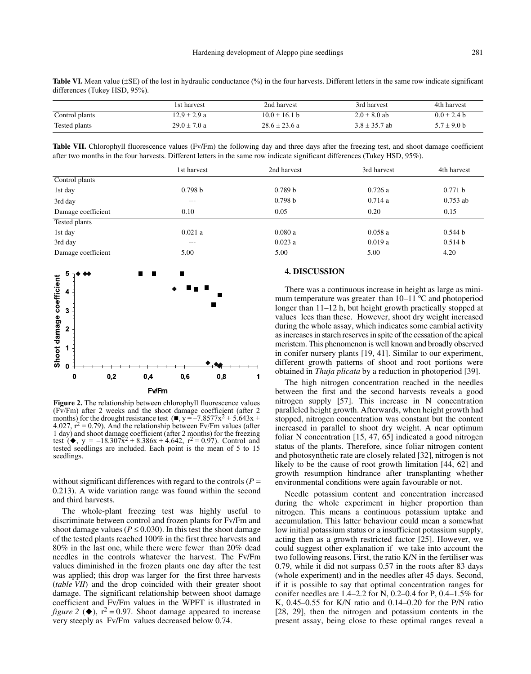**Table VI.** Mean value ( $\pm$ SE) of the lost in hydraulic conductance (%) in the four harvests. Different letters in the same row indicate significant differences (Tukey HSD, 95%).

|                | 1st harvest      | 2nd harvest       | 3rd harvest       | 4th harvest     |
|----------------|------------------|-------------------|-------------------|-----------------|
| Control plants | $12.9 + 2.9 a$   | $10.0 + 16.1$ b   | $2.0 \pm 8.0$ ab  | $0.0 + 2.4 h$   |
| Tested plants  | $29.0 \pm 7.0 a$ | $28.6 \pm 23.6 a$ | $3.8 \pm 35.7$ ab | $5.7 \pm 9.0$ b |

Table VII. Chlorophyll fluorescence values (Fv/Fm) the following day and three days after the freezing test, and shoot damage coefficient after two months in the four harvests. Different letters in the same row indicate significant differences (Tukey HSD, 95%).

|                    | l st harvest      | 2nd harvest | 3rd harvest | 4th harvest |
|--------------------|-------------------|-------------|-------------|-------------|
| Control plants     |                   |             |             |             |
| 1st day            | 0.798 b           | 0.789 b     | 0.726a      | 0.771 b     |
| 3rd day            | $\qquad \qquad -$ | 0.798 b     | 0.714a      | $0.753$ ab  |
| Damage coefficient | 0.10              | 0.05        | 0.20        | 0.15        |
| Tested plants      |                   |             |             |             |
| 1st day            | 0.021a            | 0.080a      | 0.058a      | 0.544 b     |
| 3rd day            | $- - - -$         | 0.023a      | 0.019a      | 0.514 b     |
| Damage coefficient | 5.00              | 5.00        | 5.00        | 4.20        |



**Figure 2.** The relationship between chlorophyll fluorescence values (Fv/Fm) after 2 weeks and the shoot damage coefficient (after 2 months) for the drought resistance test  $(\blacksquare, y = -7.8577x^2 + 5.643x +$ 4.027,  $\dot{r}^2 = 0.79$ ). And the relationship between Fv/Fm values (after 1 day) and shoot damage coefficient (after 2 months) for the freezing test ( $\bullet$ , y = -18.307 $\bar{x}^2$  + 8.386x + 4.642, r<sup>2</sup> = 0.97). Control and tested seedlings are included. Each point is the mean of 5 to 15 seedlings.

without significant differences with regard to the controls ( $P =$ 0.213). A wide variation range was found within the second and third harvests.

The whole-plant freezing test was highly useful to discriminate between control and frozen plants for Fv/Fm and shoot damage values ( $P \le 0.030$ ). In this test the shoot damage of the tested plants reached 100% in the first three harvests and 80% in the last one, while there were fewer than 20% dead needles in the controls whatever the harvest. The Fv/Fm values diminished in the frozen plants one day after the test was applied; this drop was larger for the first three harvests (*table VII*) and the drop coincided with their greater shoot damage. The significant relationship between shoot damage coefficient and Fv/Fm values in the WPFT is illustrated in *figure* 2 ( $\blacklozenge$ ),  $r^2 = 0.97$ . Shoot damage appeared to increase very steeply as Fv/Fm values decreased below 0.74.

# **4. DISCUSSION**

There was a continuous increase in height as large as minimum temperature was greater than 10–11 ºC and photoperiod longer than 11–12 h, but height growth practically stopped at values lees than these. However, shoot dry weight increased during the whole assay, which indicates some cambial activity as increases in starch reserves in spite of the cessation of the apical meristem. This phenomenon is well known and broadly observed in conifer nursery plants [19, 41]. Similar to our experiment, different growth patterns of shoot and root portions were obtained in *Thuja plicata* by a reduction in photoperiod [39].

The high nitrogen concentration reached in the needles between the first and the second harvests reveals a good nitrogen supply [57]. This increase in N concentration paralleled height growth. Afterwards, when height growth had stopped, nitrogen concentration was constant but the content increased in parallel to shoot dry weight. A near optimum foliar N concentration [15, 47, 65] indicated a good nitrogen status of the plants. Therefore, since foliar nitrogen content and photosynthetic rate are closely related [32], nitrogen is not likely to be the cause of root growth limitation [44, 62] and growth resumption hindrance after transplanting whether environmental conditions were again favourable or not.

Needle potassium content and concentration increased during the whole experiment in higher proportion than nitrogen. This means a continuous potassium uptake and accumulation. This latter behaviour could mean a somewhat low initial potassium status or a insufficient potassium supply, acting then as a growth restricted factor [25]. However, we could suggest other explanation if we take into account the two following reasons. First, the ratio K/N in the fertiliser was 0.79, while it did not surpass 0.57 in the roots after 83 days (whole experiment) and in the needles after 45 days. Second, if it is possible to say that optimal concentration ranges for conifer needles are 1.4–2.2 for N, 0.2–0.4 for P, 0.4–1.5% for K, 0.45–0.55 for K/N ratio and 0.14–0.20 for the P/N ratio [28, 29], then the nitrogen and potassium contents in the present assay, being close to these optimal ranges reveal a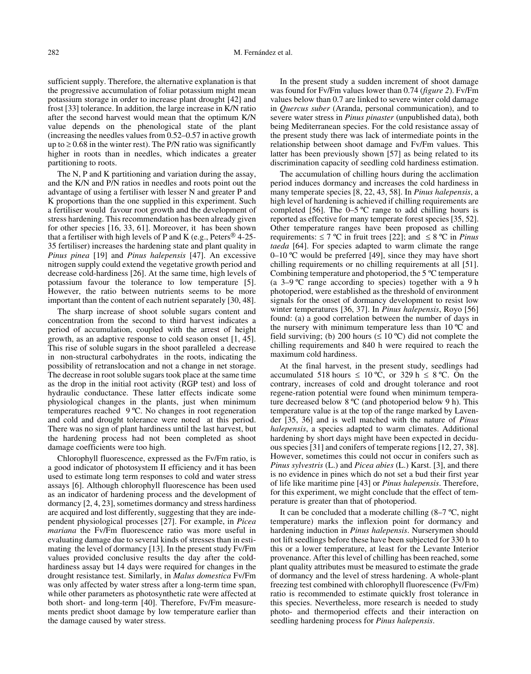sufficient supply. Therefore, the alternative explanation is that the progressive accumulation of foliar potassium might mean potassium storage in order to increase plant drought [42] and frost [33] tolerance. In addition, the large increase in K/N ratio after the second harvest would mean that the optimum K/N value depends on the phenological state of the plant (increasing the needles values from 0.52–0.57 in active growth up to  $\geq$  0.68 in the winter rest). The P/N ratio was significantly higher in roots than in needles, which indicates a greater partitioning to roots.

The N, P and K partitioning and variation during the assay, and the K/N and P/N ratios in needles and roots point out the advantage of using a fertiliser with lesser N and greater P and K proportions than the one supplied in this experiment. Such a fertiliser would favour root growth and the development of stress hardening. This recommendation has been already given for other species [16, 33, 61]. Moreover, it has been shown that a fertiliser with high levels of P and K (e.g., Peters $^{\circledR}$  4-25-35 fertiliser) increases the hardening state and plant quality in *Pinus pinea* [19] and *Pinus halepensis* [47]. An excessive nitrogen supply could extend the vegetative growth period and decrease cold-hardiness [26]. At the same time, high levels of potassium favour the tolerance to low temperature [5]. However, the ratio between nutrients seems to be more important than the content of each nutrient separately [30, 48].

The sharp increase of shoot soluble sugars content and concentration from the second to third harvest indicates a period of accumulation, coupled with the arrest of height growth, as an adaptive response to cold season onset [1, 45]. This rise of soluble sugars in the shoot paralleled a decrease in non-structural carbohydrates in the roots, indicating the possibility of retranslocation and not a change in net storage. The decrease in root soluble sugars took place at the same time as the drop in the initial root activity (RGP test) and loss of hydraulic conductance. These latter effects indicate some physiological changes in the plants, just when minimum temperatures reached 9 ºC. No changes in root regeneration and cold and drought tolerance were noted at this period. There was no sign of plant hardiness until the last harvest, but the hardening process had not been completed as shoot damage coefficients were too high.

Chlorophyll fluorescence, expressed as the Fv/Fm ratio, is a good indicator of photosystem II efficiency and it has been used to estimate long term responses to cold and water stress assays [6]. Although chlorophyll fluorescence has been used as an indicator of hardening process and the development of dormancy [2, 4, 23], sometimes dormancy and stress hardiness are acquired and lost differently, suggesting that they are independent physiological processes [27]. For example, in *Picea mariana* the Fv/Fm fluorescence ratio was more useful in evaluating damage due to several kinds of stresses than in estimating the level of dormancy [13]. In the present study Fv/Fm values provided conclusive results the day after the coldhardiness assay but 14 days were required for changes in the drought resistance test. Similarly, in *Malus domestica* Fv/Fm was only affected by water stress after a long-term time span, while other parameters as photosynthetic rate were affected at both short- and long-term [40]. Therefore, Fv/Fm measurements predict shoot damage by low temperature earlier than the damage caused by water stress.

In the present study a sudden increment of shoot damage was found for Fv/Fm values lower than 0.74 (*figure 2*). Fv/Fm values below than 0.7 are linked to severe winter cold damage in *Quercus suber* (Aranda, personal communication), and to severe water stress in *Pinus pinaster* (unpublished data), both being Mediterranean species. For the cold resistance assay of the present study there was lack of intermediate points in the relationship between shoot damage and Fv/Fm values. This latter has been previously shown [57] as being related to its discrimination capacity of seedling cold hardiness estimation.

The accumulation of chilling hours during the acclimation period induces dormancy and increases the cold hardiness in many temperate species [8, 22, 43, 58]. In *Pinus halepensis*, a high level of hardening is achieved if chilling requirements are completed [56]. The  $0-5$  °C range to add chilling hours is reported as effective for many temperate forest species [35, 52]. Other temperature ranges have been proposed as chilling requirements:  $\leq 7$  °C in fruit trees [22]; and  $\leq 8$  °C in *Pinus taeda* [64]. For species adapted to warm climate the range 0–10  $\degree$ C would be preferred [49], since they may have short chilling requirements or no chilling requirements at all [51]. Combining temperature and photoperiod, the 5 ºC temperature (a 3–9 ºC range according to species) together with a 9 h photoperiod, were established as the threshold of environment signals for the onset of dormancy development to resist low winter temperatures [36, 37]. In *Pinus halepensis*, Royo [56] found: (a) a good correlation between the number of days in the nursery with minimum temperature less than 10 ºC and field surviving; (b) 200 hours ( $\leq 10$  °C) did not complete the chilling requirements and 840 h were required to reach the maximum cold hardiness.

At the final harvest, in the present study, seedlings had accumulated 518 hours  $\leq 10$  °C, or 329 h  $\leq 8$  °C. On the contrary, increases of cold and drought tolerance and root regene-ration potential were found when minimum temperature decreased below 8 ºC (and photoperiod below 9 h). This temperature value is at the top of the range marked by Lavender [35, 36] and is well matched with the nature of *Pinus halepensis*, a species adapted to warm climates. Additional hardening by short days might have been expected in deciduous species [31] and conifers of temperate regions [12, 27, 38]. However, sometimes this could not occur in conifers such as *Pinus sylvestris* (L.) and *Picea abies* (L.) Karst. [3], and there is no evidence in pines which do not set a bud their first year of life like maritime pine [43] or *Pinus halepensis*. Therefore, for this experiment, we might conclude that the effect of temperature is greater than that of photoperiod.

It can be concluded that a moderate chilling  $(8-7 \degree C, \text{night})$ temperature) marks the inflexion point for dormancy and hardening induction in *Pinus halepensis*. Nurserymen should not lift seedlings before these have been subjected for 330 h to this or a lower temperature, at least for the Levante Interior provenance. After this level of chilling has been reached, some plant quality attributes must be measured to estimate the grade of dormancy and the level of stress hardening. A whole-plant freezing test combined with chlorophyll fluorescence (Fv/Fm) ratio is recommended to estimate quickly frost tolerance in this species. Nevertheless, more research is needed to study photo- and thermoperiod effects and their interaction on seedling hardening process for *Pinus halepensis*.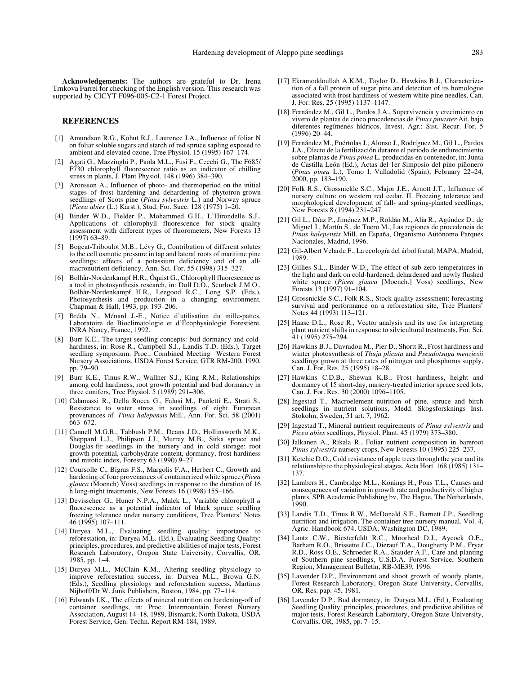**Acknowledgements:** The authors are grateful to Dr. Irena Trnkova Farrel for checking of the English version. This research was supported by CICYT F096-005-C2-1 Forest Project.

#### **REFERENCES**

- [1] Amundson R.G., Kohut R.J., Laurence J.A., Influence of foliar N on foliar soluble sugars and starch of red spruce sapling exposed to ambient and elevated ozone, Tree Physiol. 15 (1995) 167–174.
- [2] Agati G., Mazzinghi P., Paola M.L., Fusi F., Cecchi G., The F685/ F730 chlorophyll fluorescence ratio as an indicator of chilling stress in plants, J. Plant Physiol. 148 (1996) 384–390.
- [3] Aronsson A., Influence of photo- and thermoperiod on the initial stages of frost hardening and dehardening of phytotron-grown seedlings of Scots pine (*Pinus sylvestris* L.) and Norway spruce (*Picea abies* (L.) Karst.), Stud. For. Suec. 128 (1975) 1–20.
- [4] Binder W.D., Fielder P., Mohammed G.H., L'Hirondelle S.J., Applications of chlorophyll fluorescence for stock quality assessment with different types of fluorometers, New Forests 13 (1997) 63–89.
- [5] Bogeat-Triboulot M.B., Lévy G., Contribution of different solutes to the cell osmotic pressure in tap and lateral roots of maritime pine seedlings: effects of a potassium deficiency and of an allmacronutrient deficiency, Ann. Sci. For. 55 (1998) 315–327.
- [6] Bolhàr-Nordenkampf H.R., Óquist G., Chlorophyll fluorescence as a tool in photosynthesis research, in: Doll D.O., Scurlock J.M.O., Bolhàr-Nordenkampf H.R., Leegood R.C., Long S.P. (Eds.), Photosynthesis and production in a changing environment, Chapman & Hall, 1993, pp. 193–206.
- [7] Bréda N., Ménard J.-E., Notice d'utilisation du mille-pattes. Laboratoire de Bioclimatologie et d'Écophysiologie Forestière, INRA Nancy, France, 1992.
- [8] Burr K.E., The target seedling concepts: bud dormancy and coldhardiness, in: Rose R., Campbell S.J., Landis T.D. (Eds.), Target seedling symposium: Proc., Combined Meeting Western Forest Nursery Associations, USDA Forest Service, GTR RM-200, 1990, pp. 79–90.
- [9] Burr K.E., Tinus R.W., Wallner S.J., King R.M., Relationships among cold hardiness, root growth potential and bud dormancy in three conifers, Tree Physiol. 5 (1989) 291–306.
- [10] Calamassi R., Della Rocca G., Falusi M., Paoletti E., Strati S., Resistance to water stress in seedlings of eight European provenances of *Pinus halepensis* Mill., Ann. For. Sci. 58 (2001) 663–672.
- [11] Cannell M.G.R., Tabbush P.M., Deans J.D., Hollinsworth M.K., Sheppard L.J., Philipson J.J., Murray M.B., Sitka spruce and Douglas-fir seedlings in the nursery and in cold storage: root growth potential, carbohydrate content, dormancy, frost hardiness and mitotic index, Forestry 63 (1990) 9–27.
- [12] Coursolle C., Bigras F.S., Margolis F.A., Herbert C., Growth and hardening of four provenances of containerized white spruce (*Picea glauca* (Moench) Voss) seedlings in response to the duration of 16 h long-night treatments, New Forests 16 (1998) 155-166.
- [13] Devisscher G., Huner N.P.A., Malek L., Variable chlorophyll *a* fluorescence as a potential indicator of black spruce seedling freezing tolerance under nursery conditions, Tree Planters' Notes 46 (1995) 107–111.
- [14] Duryea M.L., Evaluating seedling quality: importance to reforestation, in: Duryea M.L. (Ed.), Evaluating Seedling Quality: principles, procedures, and predictive abilities of major tests, Forest Research Laboratory, Oregon State University, Corvallis, OR, 1985, pp. 1–4.
- [15] Duryea M.L., McClain K.M., Altering seedling physiology to improve reforestation success, in: Duryea M.L., Brown G.N. (Eds.), Seedling physiology and reforestation success, Martinus Nijhoff/Dr W. Junk Publishers, Boston, 1984, pp. 77–114.
- [16] Edwards I.K., The effects of mineral nutrition on hardening-off of container seedlings, in: Proc. Intermountain Forest Nursery Association, August 14–18, 1989, Bismarck, North Dakota, USDA Forest Service, Gen. Techn. Report RM-184, 1989.
- [17] Ekramoddoullah A.K.M., Taylor D., Hawkins B.J., Characterization of a fall protein of sugar pine and detection of its homologue associated with frost hardiness of western white pine needles, Can. J. For. Res. 25 (1995) 1137–1147.
- [18] Fernández M., Gil L., Pardos J.A., Supervivencia y crecimiento en vivero de plantas de cinco procedencias de *Pinus pinaster* Ait. bajo diferentes regímenes hídricos, Invest. Agr.: Sist. Recur. For. 5 (1996) 20–44.
- [19] Fernández M., Puértolas J., Alonso J., Rodríguez M., Gil L., Pardos J.A., Efecto de la fertilización durante el periodo de endurecimiento sobre plantas de *Pinus pinea* L. producidas en contenedor, in: Junta de Castilla León (Ed.), Actas del 1er Simposio del pino piñonero (*Pinus pinea* L.), Tomo I. Valladolid (Spain), February 22–24, 2000, pp. 183–190.
- [20] Folk R.S., Grossnickle S.C., Major J.E., Arnott J.T., Influence of nursery culture on western red cedar. II. Freezing tolerance and morphological development of fall- and spring-planted seedlings, New Forests 8 (1994) 231–247.
- [21] Gil L., Díaz P., Jiménez M.P., Roldán M., Alía R., Agúndez D., de Miguel J., Martín S., de Tuero M., Las regiones de procedencia de *Pinus halepensis* Mill. en España, Organismo Autónomo Parques Nacionales, Madrid, 1996.
- [22] Gil-Albert Velarde F., La ecología del árbol frutal, MAPA, Madrid, 1989.
- [23] Gillies S.L., Binder W.D., The effect of sub-zero temperatures in the light and dark on cold-hardened, dehardened and newly flushed white spruce (*Picea glauca* [Moench.] Voss) seedlings, New Forests 13 (1997) 91–104.
- [24] Grossnickle S.C., Folk R.S., Stock quality assessment: forecasting survival and performance on a reforestation site, Tree Planters' Notes 44 (1993) 113–121.
- [25] Haase D.L., Rose R., Vector analysis and its use for interpreting plant nutrient shifts in response to silvicultural treatments, For. Sci. 41 (1995) 275–294.
- [26] Hawkins B.J., Davradou M., Pier D., Shortt R., Frost hardiness and winter photosynthesis of *Thuja plicata* and *Pseudotsuga menziesii* seedlings grown at three rates of nitrogen and phosphorus supply, Can. J. For. Res. 25 (1995) 18–28.
- [27] Hawkins C.D.B., Shewan K.B., Frost hardiness, height and dormancy of 15 short-day, nursery-treated interior spruce seed lots, Can. J. For. Res. 30 (2000) 1096–1105.
- [28] Ingestad T., Macroelement nutrition of pine, spruce and birch seedlings in nutrient solutions, Medd. Skogsforsknings Inst. Stokolm, Sweden, 51 art. 7, 1962.
- [29] Ingestad T., Mineral nutrient requirements of *Pinus sylvestris* and *Picea abies* seedlings, Physiol. Plant. 45 (1979) 373–380.
- [30] Jalkanen A., Rikala R., Foliar nutrient composition in bareroot Pinus sylvestris nursery crops, New Forests 10 (1995) 225-237.
- [31] Ketchie D.O., Cold resistance of apple trees through the year and its relationship to the physiological stages, Acta Hort. 168 (1985) 131– 137.
- [32] Lambers H., Cambridge M.L., Konings H., Pons T.L., Causes and consequences of variation in growth rate and productivity of higher plants, SPB Academic Publishing bv, The Hague, The Netherlands, 1990.
- [33] Landis T.D., Tinus R.W., McDonald S.E., Barnett J.P., Seedling nutrition and irrigation. The container tree nursery manual. Vol. 4, Agric. Handbook 674, USDA, Washington DC, 1989.
- [34] Lantz C.W., Biesterfeldt R.C., Moorheal D.J., Aycock O.E., Barham R.O., Brissette J.C., Dierauf T.A., Dougherty P.M., Fryar R.D., Ross O.E., Schroeder R.A., Stauder A.F., Care and planting of Southern pine seedlings, U.S.D.A. Forest Service, Southern Region, Management Bulletin, RB-ME39, 1996.
- [35] Lavender D.P., Environment and shoot growth of woody plants, Forest Research Laboratory, Oregon State University, Corvallis, OR, Res. pap. 45, 1981.
- [36] Lavender D.P., Bud dormancy, in: Duryea M.L. (Ed.), Evaluating Seedling Quality: principles, procedures, and predictive abilities of major tests, Forest Research Laboratory, Oregon State University, Corvallis, OR, 1985, pp. 7–15.